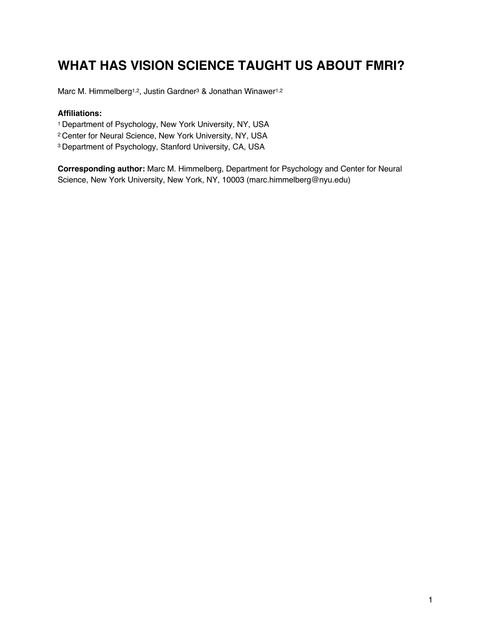# **WHAT HAS VISION SCIENCE TAUGHT US ABOUT FMRI?**

Marc M. Himmelberg<sup>1,2</sup>, Justin Gardner<sup>3</sup> & Jonathan Winawer<sup>1,2</sup>

#### **Affiliations:**

- 1 Department of Psychology, New York University, NY, USA
- 2 Center for Neural Science, New York University, NY, USA
- 3 Department of Psychology, Stanford University, CA, USA

**Corresponding author:** Marc M. Himmelberg, Department for Psychology and Center for Neural Science, New York University, New York, NY, 10003 (marc.himmelberg@nyu.edu)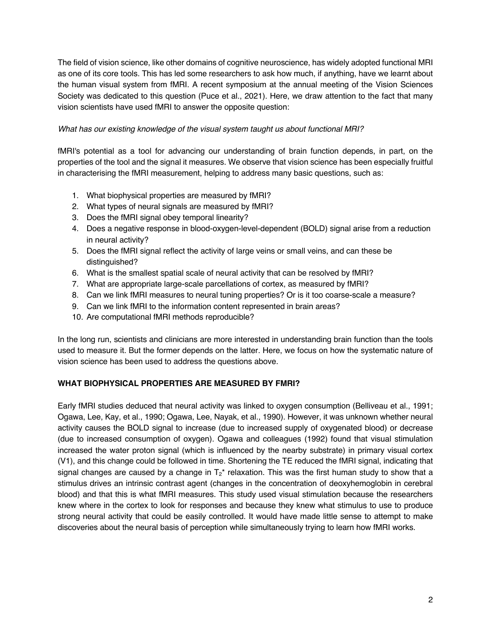The field of vision science, like other domains of cognitive neuroscience, has widely adopted functional MRI as one of its core tools. This has led some researchers to ask how much, if anything, have we learnt about the human visual system from fMRI. A recent symposium at the annual meeting of the Vision Sciences Society was dedicated to this question (Puce et al., 2021). Here, we draw attention to the fact that many vision scientists have used fMRI to answer the opposite question:

## *What has our existing knowledge of the visual system taught us about functional MRI?*

fMRI's potential as a tool for advancing our understanding of brain function depends, in part, on the properties of the tool and the signal it measures. We observe that vision science has been especially fruitful in characterising the fMRI measurement, helping to address many basic questions, such as:

- 1. What biophysical properties are measured by fMRI?
- 2. What types of neural signals are measured by fMRI?
- 3. Does the fMRI signal obey temporal linearity?
- 4. Does a negative response in blood-oxygen-level-dependent (BOLD) signal arise from a reduction in neural activity?
- 5. Does the fMRI signal reflect the activity of large veins or small veins, and can these be distinguished?
- 6. What is the smallest spatial scale of neural activity that can be resolved by fMRI?
- 7. What are appropriate large-scale parcellations of cortex, as measured by fMRI?
- 8. Can we link fMRI measures to neural tuning properties? Or is it too coarse-scale a measure?
- 9. Can we link fMRI to the information content represented in brain areas?
- 10. Are computational fMRI methods reproducible?

In the long run, scientists and clinicians are more interested in understanding brain function than the tools used to measure it. But the former depends on the latter. Here, we focus on how the systematic nature of vision science has been used to address the questions above.

# **WHAT BIOPHYSICAL PROPERTIES ARE MEASURED BY FMRI?**

Early fMRI studies deduced that neural activity was linked to oxygen consumption (Belliveau et al., 1991; Ogawa, Lee, Kay, et al., 1990; Ogawa, Lee, Nayak, et al., 1990). However, it was unknown whether neural activity causes the BOLD signal to increase (due to increased supply of oxygenated blood) or decrease (due to increased consumption of oxygen). Ogawa and colleagues (1992) found that visual stimulation increased the water proton signal (which is influenced by the nearby substrate) in primary visual cortex (V1), and this change could be followed in time. Shortening the TE reduced the fMRI signal, indicating that signal changes are caused by a change in  $T_2^*$  relaxation. This was the first human study to show that a stimulus drives an intrinsic contrast agent (changes in the concentration of deoxyhemoglobin in cerebral blood) and that this is what fMRI measures. This study used visual stimulation because the researchers knew where in the cortex to look for responses and because they knew what stimulus to use to produce strong neural activity that could be easily controlled. It would have made little sense to attempt to make discoveries about the neural basis of perception while simultaneously trying to learn how fMRI works.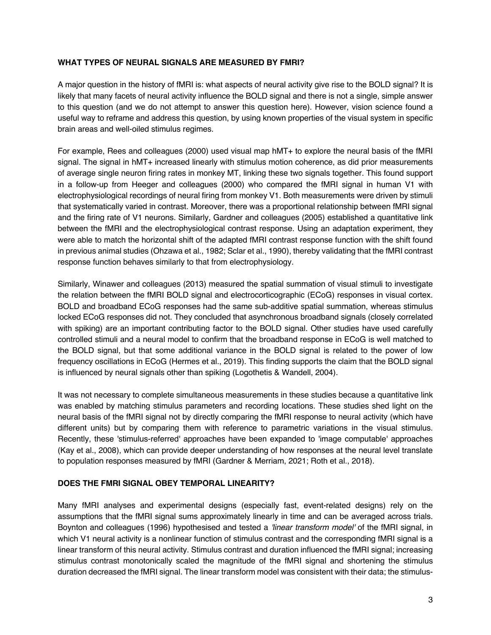### **WHAT TYPES OF NEURAL SIGNALS ARE MEASURED BY FMRI?**

A major question in the history of fMRI is: what aspects of neural activity give rise to the BOLD signal? It is likely that many facets of neural activity influence the BOLD signal and there is not a single, simple answer to this question (and we do not attempt to answer this question here). However, vision science found a useful way to reframe and address this question, by using known properties of the visual system in specific brain areas and well-oiled stimulus regimes.

For example, Rees and colleagues (2000) used visual map hMT+ to explore the neural basis of the fMRI signal. The signal in hMT+ increased linearly with stimulus motion coherence, as did prior measurements of average single neuron firing rates in monkey MT, linking these two signals together. This found support in a follow-up from Heeger and colleagues (2000) who compared the fMRI signal in human V1 with electrophysiological recordings of neural firing from monkey V1. Both measurements were driven by stimuli that systematically varied in contrast. Moreover, there was a proportional relationship between fMRI signal and the firing rate of V1 neurons. Similarly, Gardner and colleagues (2005) established a quantitative link between the fMRI and the electrophysiological contrast response. Using an adaptation experiment, they were able to match the horizontal shift of the adapted fMRI contrast response function with the shift found in previous animal studies (Ohzawa et al., 1982; Sclar et al., 1990), thereby validating that the fMRI contrast response function behaves similarly to that from electrophysiology.

Similarly, Winawer and colleagues (2013) measured the spatial summation of visual stimuli to investigate the relation between the fMRI BOLD signal and electrocorticographic (ECoG) responses in visual cortex. BOLD and broadband ECoG responses had the same sub-additive spatial summation, whereas stimulus locked ECoG responses did not. They concluded that asynchronous broadband signals (closely correlated with spiking) are an important contributing factor to the BOLD signal. Other studies have used carefully controlled stimuli and a neural model to confirm that the broadband response in ECoG is well matched to the BOLD signal, but that some additional variance in the BOLD signal is related to the power of low frequency oscillations in ECoG (Hermes et al., 2019). This finding supports the claim that the BOLD signal is influenced by neural signals other than spiking (Logothetis & Wandell, 2004).

It was not necessary to complete simultaneous measurements in these studies because a quantitative link was enabled by matching stimulus parameters and recording locations. These studies shed light on the neural basis of the fMRI signal not by directly comparing the fMRI response to neural activity (which have different units) but by comparing them with reference to parametric variations in the visual stimulus. Recently, these 'stimulus-referred' approaches have been expanded to 'image computable' approaches (Kay et al., 2008), which can provide deeper understanding of how responses at the neural level translate to population responses measured by fMRI (Gardner & Merriam, 2021; Roth et al., 2018).

### **DOES THE FMRI SIGNAL OBEY TEMPORAL LINEARITY?**

Many fMRI analyses and experimental designs (especially fast, event-related designs) rely on the assumptions that the fMRI signal sums approximately linearly in time and can be averaged across trials. Boynton and colleagues (1996) hypothesised and tested a *'linear transform model'* of the fMRI signal, in which V1 neural activity is a nonlinear function of stimulus contrast and the corresponding fMRI signal is a linear transform of this neural activity. Stimulus contrast and duration influenced the fMRI signal; increasing stimulus contrast monotonically scaled the magnitude of the fMRI signal and shortening the stimulus duration decreased the fMRI signal. The linear transform model was consistent with their data; the stimulus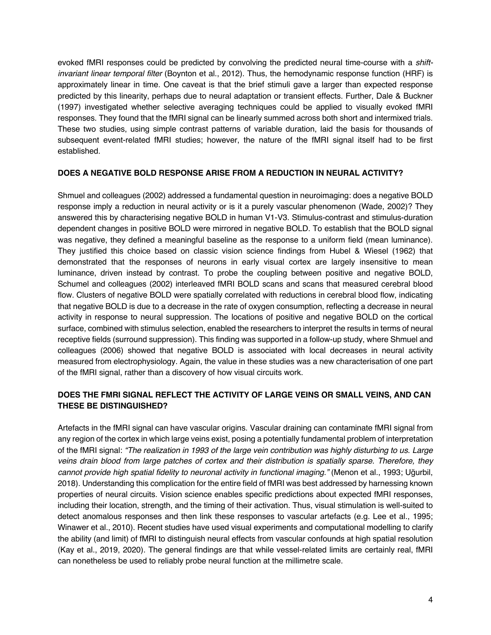evoked fMRI responses could be predicted by convolving the predicted neural time-course with a *shiftinvariant linear temporal filter* (Boynton et al., 2012). Thus, the hemodynamic response function (HRF) is approximately linear in time. One caveat is that the brief stimuli gave a larger than expected response predicted by this linearity, perhaps due to neural adaptation or transient effects. Further, Dale & Buckner (1997) investigated whether selective averaging techniques could be applied to visually evoked fMRI responses. They found that the fMRI signal can be linearly summed across both short and intermixed trials. These two studies, using simple contrast patterns of variable duration, laid the basis for thousands of subsequent event-related fMRI studies; however, the nature of the fMRI signal itself had to be first established.

### **DOES A NEGATIVE BOLD RESPONSE ARISE FROM A REDUCTION IN NEURAL ACTIVITY?**

Shmuel and colleagues (2002) addressed a fundamental question in neuroimaging: does a negative BOLD response imply a reduction in neural activity or is it a purely vascular phenomenon (Wade, 2002)? They answered this by characterising negative BOLD in human V1-V3. Stimulus-contrast and stimulus-duration dependent changes in positive BOLD were mirrored in negative BOLD. To establish that the BOLD signal was negative, they defined a meaningful baseline as the response to a uniform field (mean luminance). They justified this choice based on classic vision science findings from Hubel & Wiesel (1962) that demonstrated that the responses of neurons in early visual cortex are largely insensitive to mean luminance, driven instead by contrast. To probe the coupling between positive and negative BOLD, Schumel and colleagues (2002) interleaved fMRI BOLD scans and scans that measured cerebral blood flow. Clusters of negative BOLD were spatially correlated with reductions in cerebral blood flow, indicating that negative BOLD is due to a decrease in the rate of oxygen consumption, reflecting a decrease in neural activity in response to neural suppression. The locations of positive and negative BOLD on the cortical surface, combined with stimulus selection, enabled the researchers to interpret the results in terms of neural receptive fields (surround suppression). This finding was supported in a follow-up study, where Shmuel and colleagues (2006) showed that negative BOLD is associated with local decreases in neural activity measured from electrophysiology. Again, the value in these studies was a new characterisation of one part of the fMRI signal, rather than a discovery of how visual circuits work.

# **DOES THE FMRI SIGNAL REFLECT THE ACTIVITY OF LARGE VEINS OR SMALL VEINS, AND CAN THESE BE DISTINGUISHED?**

Artefacts in the fMRI signal can have vascular origins. Vascular draining can contaminate fMRI signal from any region of the cortex in which large veins exist, posing a potentially fundamental problem of interpretation of the fMRI signal: *"The realization in 1993 of the large vein contribution was highly disturbing to us. Large veins drain blood from large patches of cortex and their distribution is spatially sparse. Therefore, they cannot provide high spatial fidelity to neuronal activity in functional imaging."* (Menon et al., 1993; Uğurbil, 2018). Understanding this complication for the entire field of fMRI was best addressed by harnessing known properties of neural circuits. Vision science enables specific predictions about expected fMRI responses, including their location, strength, and the timing of their activation. Thus, visual stimulation is well-suited to detect anomalous responses and then link these responses to vascular artefacts (e.g. Lee et al., 1995; Winawer et al., 2010). Recent studies have used visual experiments and computational modelling to clarify the ability (and limit) of fMRI to distinguish neural effects from vascular confounds at high spatial resolution (Kay et al., 2019, 2020). The general findings are that while vessel-related limits are certainly real, fMRI can nonetheless be used to reliably probe neural function at the millimetre scale.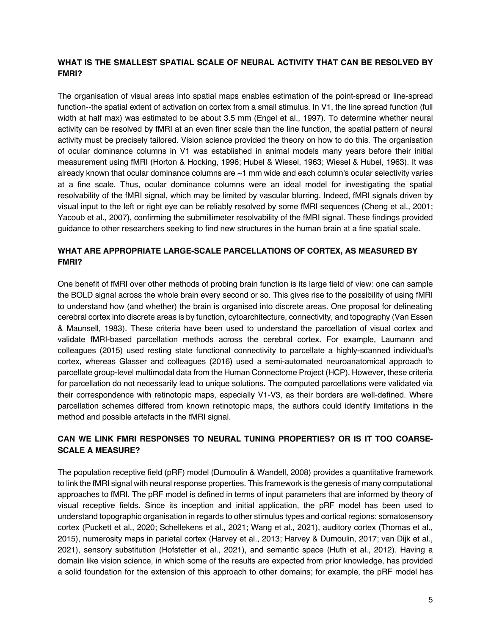## **WHAT IS THE SMALLEST SPATIAL SCALE OF NEURAL ACTIVITY THAT CAN BE RESOLVED BY FMRI?**

The organisation of visual areas into spatial maps enables estimation of the point-spread or line-spread function--the spatial extent of activation on cortex from a small stimulus. In V1, the line spread function (full width at half max) was estimated to be about 3.5 mm (Engel et al., 1997). To determine whether neural activity can be resolved by fMRI at an even finer scale than the line function, the spatial pattern of neural activity must be precisely tailored. Vision science provided the theory on how to do this. The organisation of ocular dominance columns in V1 was established in animal models many years before their initial measurement using fMRI (Horton & Hocking, 1996; Hubel & Wiesel, 1963; Wiesel & Hubel, 1963). It was already known that ocular dominance columns are ~1 mm wide and each column's ocular selectivity varies at a fine scale. Thus, ocular dominance columns were an ideal model for investigating the spatial resolvability of the fMRI signal, which may be limited by vascular blurring. Indeed, fMRI signals driven by visual input to the left or right eye can be reliably resolved by some fMRI sequences (Cheng et al., 2001; Yacoub et al., 2007), confirming the submillimeter resolvability of the fMRI signal. These findings provided guidance to other researchers seeking to find new structures in the human brain at a fine spatial scale.

# **WHAT ARE APPROPRIATE LARGE-SCALE PARCELLATIONS OF CORTEX, AS MEASURED BY FMRI?**

One benefit of fMRI over other methods of probing brain function is its large field of view: one can sample the BOLD signal across the whole brain every second or so. This gives rise to the possibility of using fMRI to understand how (and whether) the brain is organised into discrete areas. One proposal for delineating cerebral cortex into discrete areas is by function, cytoarchitecture, connectivity, and topography (Van Essen & Maunsell, 1983). These criteria have been used to understand the parcellation of visual cortex and validate fMRI-based parcellation methods across the cerebral cortex. For example, Laumann and colleagues (2015) used resting state functional connectivity to parcellate a highly-scanned individual's cortex, whereas Glasser and colleagues (2016) used a semi-automated neuroanatomical approach to parcellate group-level multimodal data from the Human Connectome Project (HCP). However, these criteria for parcellation do not necessarily lead to unique solutions. The computed parcellations were validated via their correspondence with retinotopic maps, especially V1-V3, as their borders are well-defined. Where parcellation schemes differed from known retinotopic maps, the authors could identify limitations in the method and possible artefacts in the fMRI signal.

# **CAN WE LINK FMRI RESPONSES TO NEURAL TUNING PROPERTIES? OR IS IT TOO COARSE-SCALE A MEASURE?**

The population receptive field (pRF) model (Dumoulin & Wandell, 2008) provides a quantitative framework to link the fMRI signal with neural response properties. This framework is the genesis of many computational approaches to fMRI. The pRF model is defined in terms of input parameters that are informed by theory of visual receptive fields. Since its inception and initial application, the pRF model has been used to understand topographic organisation in regards to other stimulus types and cortical regions: somatosensory cortex (Puckett et al., 2020; Schellekens et al., 2021; Wang et al., 2021), auditory cortex (Thomas et al., 2015), numerosity maps in parietal cortex (Harvey et al., 2013; Harvey & Dumoulin, 2017; van Dijk et al., 2021), sensory substitution (Hofstetter et al., 2021), and semantic space (Huth et al., 2012). Having a domain like vision science, in which some of the results are expected from prior knowledge, has provided a solid foundation for the extension of this approach to other domains; for example, the pRF model has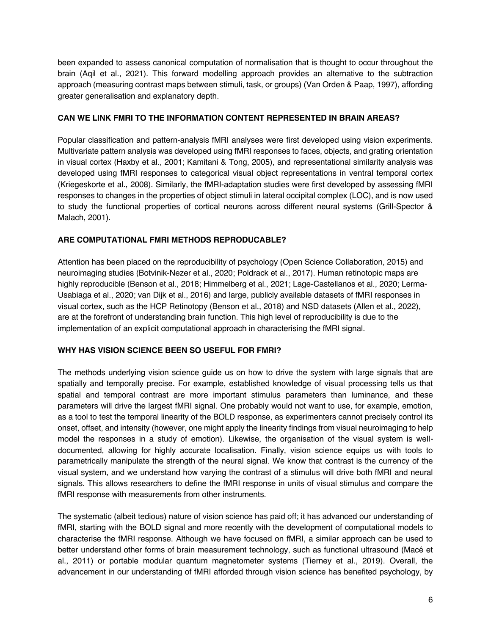been expanded to assess canonical computation of normalisation that is thought to occur throughout the brain (Aqil et al., 2021). This forward modelling approach provides an alternative to the subtraction approach (measuring contrast maps between stimuli, task, or groups) (Van Orden & Paap, 1997), affording greater generalisation and explanatory depth.

## **CAN WE LINK FMRI TO THE INFORMATION CONTENT REPRESENTED IN BRAIN AREAS?**

Popular classification and pattern-analysis fMRI analyses were first developed using vision experiments. Multivariate pattern analysis was developed using fMRI responses to faces, objects, and grating orientation in visual cortex (Haxby et al., 2001; Kamitani & Tong, 2005), and representational similarity analysis was developed using fMRI responses to categorical visual object representations in ventral temporal cortex (Kriegeskorte et al., 2008). Similarly, the fMRI-adaptation studies were first developed by assessing fMRI responses to changes in the properties of object stimuli in lateral occipital complex (LOC), and is now used to study the functional properties of cortical neurons across different neural systems (Grill-Spector & Malach, 2001).

# **ARE COMPUTATIONAL FMRI METHODS REPRODUCABLE?**

Attention has been placed on the reproducibility of psychology (Open Science Collaboration, 2015) and neuroimaging studies (Botvinik-Nezer et al., 2020; Poldrack et al., 2017). Human retinotopic maps are highly reproducible (Benson et al., 2018; Himmelberg et al., 2021; Lage-Castellanos et al., 2020; Lerma-Usabiaga et al., 2020; van Dijk et al., 2016) and large, publicly available datasets of fMRI responses in visual cortex, such as the HCP Retinotopy (Benson et al., 2018) and NSD datasets (Allen et al., 2022), are at the forefront of understanding brain function. This high level of reproducibility is due to the implementation of an explicit computational approach in characterising the fMRI signal.

### **WHY HAS VISION SCIENCE BEEN SO USEFUL FOR FMRI?**

The methods underlying vision science guide us on how to drive the system with large signals that are spatially and temporally precise. For example, established knowledge of visual processing tells us that spatial and temporal contrast are more important stimulus parameters than luminance, and these parameters will drive the largest fMRI signal. One probably would not want to use, for example, emotion, as a tool to test the temporal linearity of the BOLD response, as experimenters cannot precisely control its onset, offset, and intensity (however, one might apply the linearity findings from visual neuroimaging to help model the responses in a study of emotion). Likewise, the organisation of the visual system is welldocumented, allowing for highly accurate localisation. Finally, vision science equips us with tools to parametrically manipulate the strength of the neural signal. We know that contrast is the currency of the visual system, and we understand how varying the contrast of a stimulus will drive both fMRI and neural signals. This allows researchers to define the fMRI response in units of visual stimulus and compare the fMRI response with measurements from other instruments.

The systematic (albeit tedious) nature of vision science has paid off; it has advanced our understanding of fMRI, starting with the BOLD signal and more recently with the development of computational models to characterise the fMRI response. Although we have focused on fMRI, a similar approach can be used to better understand other forms of brain measurement technology, such as functional ultrasound (Macé et al., 2011) or portable modular quantum magnetometer systems (Tierney et al., 2019). Overall, the advancement in our understanding of fMRI afforded through vision science has benefited psychology, by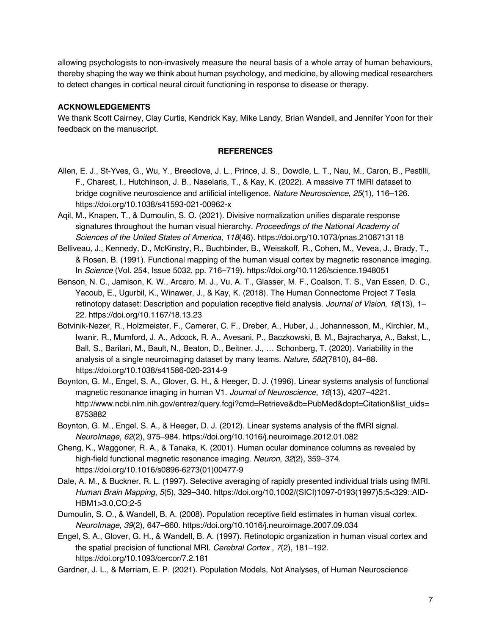allowing psychologists to non-invasively measure the neural basis of a whole array of human behaviours, thereby shaping the way we think about human psychology, and medicine, by allowing medical researchers to detect changes in cortical neural circuit functioning in response to disease or therapy.

## **ACKNOWLEDGEMENTS**

We thank Scott Cairney, Clay Curtis, Kendrick Kay, Mike Landy, Brian Wandell, and Jennifer Yoon for their feedback on the manuscript.

#### **REFERENCES**

- Allen, E. J., St-Yves, G., Wu, Y., Breedlove, J. L., Prince, J. S., Dowdle, L. T., Nau, M., Caron, B., Pestilli, F., Charest, I., Hutchinson, J. B., Naselaris, T., & Kay, K. (2022). A massive 7T fMRI dataset to bridge cognitive neuroscience and artificial intelligence. *Nature Neuroscience*, *25*(1), 116–126. https://doi.org/10.1038/s41593-021-00962-x
- Aqil, M., Knapen, T., & Dumoulin, S. O. (2021). Divisive normalization unifies disparate response signatures throughout the human visual hierarchy. *Proceedings of the National Academy of Sciences of the United States of America*, *118*(46). https://doi.org/10.1073/pnas.2108713118
- Belliveau, J., Kennedy, D., McKinstry, R., Buchbinder, B., Weisskoff, R., Cohen, M., Vevea, J., Brady, T., & Rosen, B. (1991). Functional mapping of the human visual cortex by magnetic resonance imaging. In *Science* (Vol. 254, Issue 5032, pp. 716–719). https://doi.org/10.1126/science.1948051
- Benson, N. C., Jamison, K. W., Arcaro, M. J., Vu, A. T., Glasser, M. F., Coalson, T. S., Van Essen, D. C., Yacoub, E., Ugurbil, K., Winawer, J., & Kay, K. (2018). The Human Connectome Project 7 Tesla retinotopy dataset: Description and population receptive field analysis. *Journal of Vision*, *18*(13), 1– 22. https://doi.org/10.1167/18.13.23
- Botvinik-Nezer, R., Holzmeister, F., Camerer, C. F., Dreber, A., Huber, J., Johannesson, M., Kirchler, M., Iwanir, R., Mumford, J. A., Adcock, R. A., Avesani, P., Baczkowski, B. M., Bajracharya, A., Bakst, L., Ball, S., Barilari, M., Bault, N., Beaton, D., Beitner, J., … Schonberg, T. (2020). Variability in the analysis of a single neuroimaging dataset by many teams. *Nature*, *582*(7810), 84–88. https://doi.org/10.1038/s41586-020-2314-9
- Boynton, G. M., Engel, S. A., Glover, G. H., & Heeger, D. J. (1996). Linear systems analysis of functional magnetic resonance imaging in human V1. *Journal of Neuroscience*, *16*(13), 4207–4221. http://www.ncbi.nlm.nih.gov/entrez/query.fcgi?cmd=Retrieve&db=PubMed&dopt=Citation&list\_uids= 8753882
- Boynton, G. M., Engel, S. A., & Heeger, D. J. (2012). Linear systems analysis of the fMRI signal. *NeuroImage*, *62*(2), 975–984. https://doi.org/10.1016/j.neuroimage.2012.01.082
- Cheng, K., Waggoner, R. A., & Tanaka, K. (2001). Human ocular dominance columns as revealed by high-field functional magnetic resonance imaging. *Neuron*, *32*(2), 359–374. https://doi.org/10.1016/s0896-6273(01)00477-9
- Dale, A. M., & Buckner, R. L. (1997). Selective averaging of rapidly presented individual trials using fMRI. *Human Brain Mapping*, *5*(5), 329–340. https://doi.org/10.1002/(SICI)1097-0193(1997)5:5<329::AID-HBM1>3.0.CO;2-5
- Dumoulin, S. O., & Wandell, B. A. (2008). Population receptive field estimates in human visual cortex. *NeuroImage*, *39*(2), 647–660. https://doi.org/10.1016/j.neuroimage.2007.09.034
- Engel, S. A., Glover, G. H., & Wandell, B. A. (1997). Retinotopic organization in human visual cortex and the spatial precision of functional MRI. *Cerebral Cortex* , *7*(2), 181–192. https://doi.org/10.1093/cercor/7.2.181
- Gardner, J. L., & Merriam, E. P. (2021). Population Models, Not Analyses, of Human Neuroscience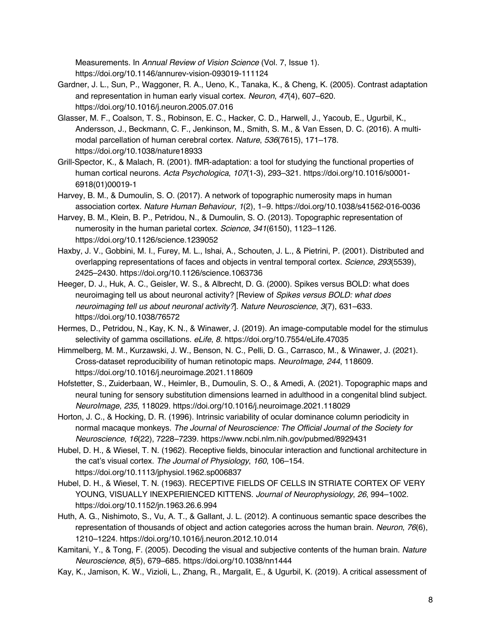Measurements. In *Annual Review of Vision Science* (Vol. 7, Issue 1). https://doi.org/10.1146/annurev-vision-093019-111124

- Gardner, J. L., Sun, P., Waggoner, R. A., Ueno, K., Tanaka, K., & Cheng, K. (2005). Contrast adaptation and representation in human early visual cortex. *Neuron*, *47*(4), 607–620. https://doi.org/10.1016/j.neuron.2005.07.016
- Glasser, M. F., Coalson, T. S., Robinson, E. C., Hacker, C. D., Harwell, J., Yacoub, E., Ugurbil, K., Andersson, J., Beckmann, C. F., Jenkinson, M., Smith, S. M., & Van Essen, D. C. (2016). A multimodal parcellation of human cerebral cortex. *Nature*, *536*(7615), 171–178. https://doi.org/10.1038/nature18933
- Grill-Spector, K., & Malach, R. (2001). fMR-adaptation: a tool for studying the functional properties of human cortical neurons. *Acta Psychologica*, *107*(1-3), 293–321. https://doi.org/10.1016/s0001- 6918(01)00019-1
- Harvey, B. M., & Dumoulin, S. O. (2017). A network of topographic numerosity maps in human association cortex. *Nature Human Behaviour*, *1*(2), 1–9. https://doi.org/10.1038/s41562-016-0036
- Harvey, B. M., Klein, B. P., Petridou, N., & Dumoulin, S. O. (2013). Topographic representation of numerosity in the human parietal cortex. *Science*, *341*(6150), 1123–1126. https://doi.org/10.1126/science.1239052
- Haxby, J. V., Gobbini, M. I., Furey, M. L., Ishai, A., Schouten, J. L., & Pietrini, P. (2001). Distributed and overlapping representations of faces and objects in ventral temporal cortex. *Science*, *293*(5539), 2425–2430. https://doi.org/10.1126/science.1063736
- Heeger, D. J., Huk, A. C., Geisler, W. S., & Albrecht, D. G. (2000). Spikes versus BOLD: what does neuroimaging tell us about neuronal activity? [Review of *Spikes versus BOLD: what does neuroimaging tell us about neuronal activity?*]. *Nature Neuroscience*, *3*(7), 631–633. https://doi.org/10.1038/76572
- Hermes, D., Petridou, N., Kay, K. N., & Winawer, J. (2019). An image-computable model for the stimulus selectivity of gamma oscillations. *eLife*, *8*. https://doi.org/10.7554/eLife.47035
- Himmelberg, M. M., Kurzawski, J. W., Benson, N. C., Pelli, D. G., Carrasco, M., & Winawer, J. (2021). Cross-dataset reproducibility of human retinotopic maps. *NeuroImage*, *244*, 118609. https://doi.org/10.1016/j.neuroimage.2021.118609
- Hofstetter, S., Zuiderbaan, W., Heimler, B., Dumoulin, S. O., & Amedi, A. (2021). Topographic maps and neural tuning for sensory substitution dimensions learned in adulthood in a congenital blind subject. *NeuroImage*, *235*, 118029. https://doi.org/10.1016/j.neuroimage.2021.118029
- Horton, J. C., & Hocking, D. R. (1996). Intrinsic variability of ocular dominance column periodicity in normal macaque monkeys. *The Journal of Neuroscience: The Official Journal of the Society for Neuroscience*, *16*(22), 7228–7239. https://www.ncbi.nlm.nih.gov/pubmed/8929431
- Hubel, D. H., & Wiesel, T. N. (1962). Receptive fields, binocular interaction and functional architecture in the cat's visual cortex. *The Journal of Physiology*, *160*, 106–154. https://doi.org/10.1113/jphysiol.1962.sp006837
- Hubel, D. H., & Wiesel, T. N. (1963). RECEPTIVE FIELDS OF CELLS IN STRIATE CORTEX OF VERY YOUNG, VISUALLY INEXPERIENCED KITTENS. *Journal of Neurophysiology*, *26*, 994–1002. https://doi.org/10.1152/jn.1963.26.6.994
- Huth, A. G., Nishimoto, S., Vu, A. T., & Gallant, J. L. (2012). A continuous semantic space describes the representation of thousands of object and action categories across the human brain. *Neuron*, *76*(6), 1210–1224. https://doi.org/10.1016/j.neuron.2012.10.014
- Kamitani, Y., & Tong, F. (2005). Decoding the visual and subjective contents of the human brain. *Nature Neuroscience*, *8*(5), 679–685. https://doi.org/10.1038/nn1444
- Kay, K., Jamison, K. W., Vizioli, L., Zhang, R., Margalit, E., & Ugurbil, K. (2019). A critical assessment of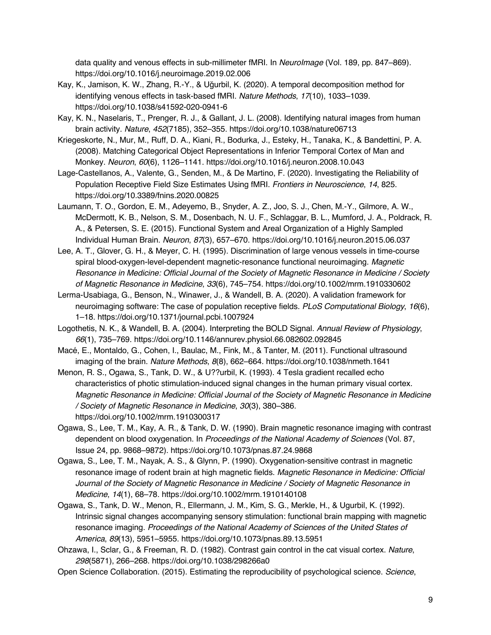data quality and venous effects in sub-millimeter fMRI. In *NeuroImage* (Vol. 189, pp. 847–869). https://doi.org/10.1016/j.neuroimage.2019.02.006

- Kay, K., Jamison, K. W., Zhang, R.-Y., & Uğurbil, K. (2020). A temporal decomposition method for identifying venous effects in task-based fMRI. *Nature Methods*, *17*(10), 1033–1039. https://doi.org/10.1038/s41592-020-0941-6
- Kay, K. N., Naselaris, T., Prenger, R. J., & Gallant, J. L. (2008). Identifying natural images from human brain activity. *Nature*, *452*(7185), 352–355. https://doi.org/10.1038/nature06713
- Kriegeskorte, N., Mur, M., Ruff, D. A., Kiani, R., Bodurka, J., Esteky, H., Tanaka, K., & Bandettini, P. A. (2008). Matching Categorical Object Representations in Inferior Temporal Cortex of Man and Monkey. *Neuron*, *60*(6), 1126–1141. https://doi.org/10.1016/j.neuron.2008.10.043
- Lage-Castellanos, A., Valente, G., Senden, M., & De Martino, F. (2020). Investigating the Reliability of Population Receptive Field Size Estimates Using fMRI. *Frontiers in Neuroscience*, *14*, 825. https://doi.org/10.3389/fnins.2020.00825
- Laumann, T. O., Gordon, E. M., Adeyemo, B., Snyder, A. Z., Joo, S. J., Chen, M.-Y., Gilmore, A. W., McDermott, K. B., Nelson, S. M., Dosenbach, N. U. F., Schlaggar, B. L., Mumford, J. A., Poldrack, R. A., & Petersen, S. E. (2015). Functional System and Areal Organization of a Highly Sampled Individual Human Brain. *Neuron*, *87*(3), 657–670. https://doi.org/10.1016/j.neuron.2015.06.037
- Lee, A. T., Glover, G. H., & Meyer, C. H. (1995). Discrimination of large venous vessels in time-course spiral blood-oxygen-level-dependent magnetic-resonance functional neuroimaging. *Magnetic Resonance in Medicine: Official Journal of the Society of Magnetic Resonance in Medicine / Society of Magnetic Resonance in Medicine*, *33*(6), 745–754. https://doi.org/10.1002/mrm.1910330602
- Lerma-Usabiaga, G., Benson, N., Winawer, J., & Wandell, B. A. (2020). A validation framework for neuroimaging software: The case of population receptive fields. *PLoS Computational Biology*, *16*(6), 1–18. https://doi.org/10.1371/journal.pcbi.1007924
- Logothetis, N. K., & Wandell, B. A. (2004). Interpreting the BOLD Signal. *Annual Review of Physiology*, *66*(1), 735–769. https://doi.org/10.1146/annurev.physiol.66.082602.092845
- Macé, E., Montaldo, G., Cohen, I., Baulac, M., Fink, M., & Tanter, M. (2011). Functional ultrasound imaging of the brain. *Nature Methods*, *8*(8), 662–664. https://doi.org/10.1038/nmeth.1641
- Menon, R. S., Ogawa, S., Tank, D. W., & U??urbil, K. (1993). 4 Tesla gradient recalled echo characteristics of photic stimulation-induced signal changes in the human primary visual cortex. *Magnetic Resonance in Medicine: Official Journal of the Society of Magnetic Resonance in Medicine / Society of Magnetic Resonance in Medicine*, *30*(3), 380–386. https://doi.org/10.1002/mrm.1910300317
- Ogawa, S., Lee, T. M., Kay, A. R., & Tank, D. W. (1990). Brain magnetic resonance imaging with contrast dependent on blood oxygenation. In *Proceedings of the National Academy of Sciences* (Vol. 87, Issue 24, pp. 9868–9872). https://doi.org/10.1073/pnas.87.24.9868
- Ogawa, S., Lee, T. M., Nayak, A. S., & Glynn, P. (1990). Oxygenation-sensitive contrast in magnetic resonance image of rodent brain at high magnetic fields. *Magnetic Resonance in Medicine: Official Journal of the Society of Magnetic Resonance in Medicine / Society of Magnetic Resonance in Medicine*, *14*(1), 68–78. https://doi.org/10.1002/mrm.1910140108
- Ogawa, S., Tank, D. W., Menon, R., Ellermann, J. M., Kim, S. G., Merkle, H., & Ugurbil, K. (1992). Intrinsic signal changes accompanying sensory stimulation: functional brain mapping with magnetic resonance imaging. *Proceedings of the National Academy of Sciences of the United States of America*, *89*(13), 5951–5955. https://doi.org/10.1073/pnas.89.13.5951
- Ohzawa, I., Sclar, G., & Freeman, R. D. (1982). Contrast gain control in the cat visual cortex. *Nature*, *298*(5871), 266–268. https://doi.org/10.1038/298266a0
- Open Science Collaboration. (2015). Estimating the reproducibility of psychological science. *Science*,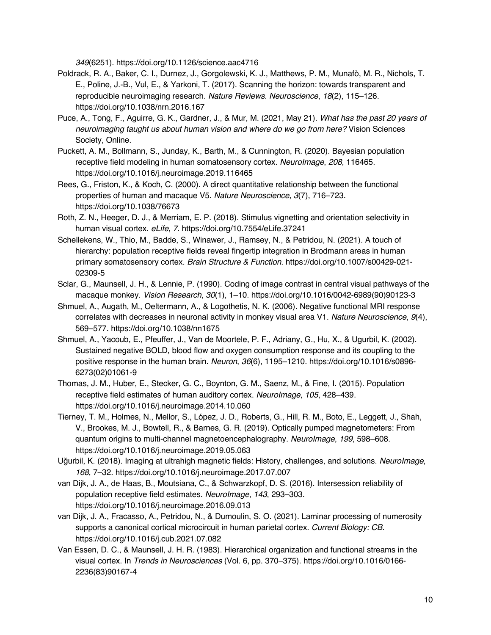*349*(6251). https://doi.org/10.1126/science.aac4716

- Poldrack, R. A., Baker, C. I., Durnez, J., Gorgolewski, K. J., Matthews, P. M., Munafò, M. R., Nichols, T. E., Poline, J.-B., Vul, E., & Yarkoni, T. (2017). Scanning the horizon: towards transparent and reproducible neuroimaging research. *Nature Reviews. Neuroscience*, *18*(2), 115–126. https://doi.org/10.1038/nrn.2016.167
- Puce, A., Tong, F., Aguirre, G. K., Gardner, J., & Mur, M. (2021, May 21). *What has the past 20 years of neuroimaging taught us about human vision and where do we go from here?* Vision Sciences Society, Online.
- Puckett, A. M., Bollmann, S., Junday, K., Barth, M., & Cunnington, R. (2020). Bayesian population receptive field modeling in human somatosensory cortex. *NeuroImage*, *208*, 116465. https://doi.org/10.1016/j.neuroimage.2019.116465
- Rees, G., Friston, K., & Koch, C. (2000). A direct quantitative relationship between the functional properties of human and macaque V5. *Nature Neuroscience*, *3*(7), 716–723. https://doi.org/10.1038/76673
- Roth, Z. N., Heeger, D. J., & Merriam, E. P. (2018). Stimulus vignetting and orientation selectivity in human visual cortex. *eLife*, *7*. https://doi.org/10.7554/eLife.37241
- Schellekens, W., Thio, M., Badde, S., Winawer, J., Ramsey, N., & Petridou, N. (2021). A touch of hierarchy: population receptive fields reveal fingertip integration in Brodmann areas in human primary somatosensory cortex. *Brain Structure & Function*. https://doi.org/10.1007/s00429-021- 02309-5
- Sclar, G., Maunsell, J. H., & Lennie, P. (1990). Coding of image contrast in central visual pathways of the macaque monkey. *Vision Research*, *30*(1), 1–10. https://doi.org/10.1016/0042-6989(90)90123-3
- Shmuel, A., Augath, M., Oeltermann, A., & Logothetis, N. K. (2006). Negative functional MRI response correlates with decreases in neuronal activity in monkey visual area V1. *Nature Neuroscience*, *9*(4), 569–577. https://doi.org/10.1038/nn1675
- Shmuel, A., Yacoub, E., Pfeuffer, J., Van de Moortele, P. F., Adriany, G., Hu, X., & Ugurbil, K. (2002). Sustained negative BOLD, blood flow and oxygen consumption response and its coupling to the positive response in the human brain. *Neuron*, *36*(6), 1195–1210. https://doi.org/10.1016/s0896- 6273(02)01061-9
- Thomas, J. M., Huber, E., Stecker, G. C., Boynton, G. M., Saenz, M., & Fine, I. (2015). Population receptive field estimates of human auditory cortex. *NeuroImage*, *105*, 428–439. https://doi.org/10.1016/j.neuroimage.2014.10.060
- Tierney, T. M., Holmes, N., Mellor, S., López, J. D., Roberts, G., Hill, R. M., Boto, E., Leggett, J., Shah, V., Brookes, M. J., Bowtell, R., & Barnes, G. R. (2019). Optically pumped magnetometers: From quantum origins to multi-channel magnetoencephalography. *NeuroImage*, *199*, 598–608. https://doi.org/10.1016/j.neuroimage.2019.05.063
- Uğurbil, K. (2018). Imaging at ultrahigh magnetic fields: History, challenges, and solutions. *NeuroImage*, *168*, 7–32. https://doi.org/10.1016/j.neuroimage.2017.07.007
- van Dijk, J. A., de Haas, B., Moutsiana, C., & Schwarzkopf, D. S. (2016). Intersession reliability of population receptive field estimates. *NeuroImage*, *143*, 293–303. https://doi.org/10.1016/j.neuroimage.2016.09.013
- van Dijk, J. A., Fracasso, A., Petridou, N., & Dumoulin, S. O. (2021). Laminar processing of numerosity supports a canonical cortical microcircuit in human parietal cortex. *Current Biology: CB*. https://doi.org/10.1016/j.cub.2021.07.082
- Van Essen, D. C., & Maunsell, J. H. R. (1983). Hierarchical organization and functional streams in the visual cortex. In *Trends in Neurosciences* (Vol. 6, pp. 370–375). https://doi.org/10.1016/0166- 2236(83)90167-4